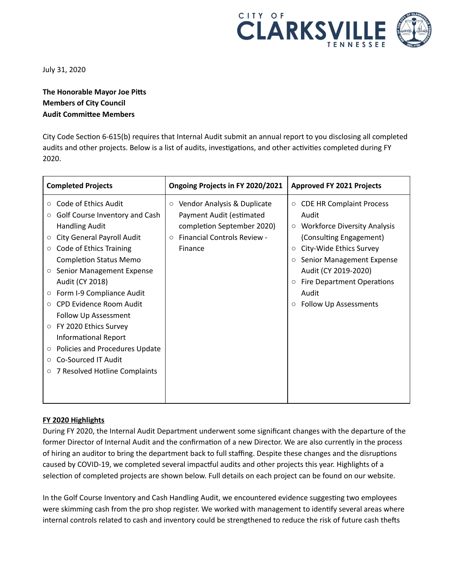

July 31, 2020

## **The Honorable Mayor Joe Pitts Members of City Council Audit Committee Members**

City Code Section 6-615(b) requires that Internal Audit submit an annual report to you disclosing all completed audits and other projects. Below is a list of audits, investigations, and other activities completed during FY 2020.

| <b>Completed Projects</b>                                                                                                                                                                                                                                                                                                                                                                                                                                                                                                                                                                   | Ongoing Projects in FY 2020/2021                                                                                                                             | <b>Approved FY 2021 Projects</b>                                                                                                                                                                                                                                                                                                              |
|---------------------------------------------------------------------------------------------------------------------------------------------------------------------------------------------------------------------------------------------------------------------------------------------------------------------------------------------------------------------------------------------------------------------------------------------------------------------------------------------------------------------------------------------------------------------------------------------|--------------------------------------------------------------------------------------------------------------------------------------------------------------|-----------------------------------------------------------------------------------------------------------------------------------------------------------------------------------------------------------------------------------------------------------------------------------------------------------------------------------------------|
| Code of Ethics Audit<br>$\circ$<br>Golf Course Inventory and Cash<br>$\circ$<br><b>Handling Audit</b><br>City General Payroll Audit<br>$\circ$<br>Code of Ethics Training<br>$\circ$<br><b>Completion Status Memo</b><br>Senior Management Expense<br>$\circ$<br>Audit (CY 2018)<br>Form I-9 Compliance Audit<br>$\circ$<br><b>CPD Evidence Room Audit</b><br>$\circ$<br>Follow Up Assessment<br>FY 2020 Ethics Survey<br>$\circ$<br><b>Informational Report</b><br>Policies and Procedures Update<br>$\circ$<br>Co-Sourced IT Audit<br>$\circ$<br>7 Resolved Hotline Complaints<br>$\circ$ | Vendor Analysis & Duplicate<br>$\circ$<br>Payment Audit (estimated<br>completion September 2020)<br><b>Financial Controls Review -</b><br>$\circ$<br>Finance | <b>CDE HR Complaint Process</b><br>$\circ$<br>Audit<br>○ Workforce Diversity Analysis<br>(Consulting Engagement)<br>City-Wide Ethics Survey<br>$\circlearrowright$<br><b>Senior Management Expense</b><br>$\circ$<br>Audit (CY 2019-2020)<br><b>Fire Department Operations</b><br>$\circ$<br>Audit<br><b>Follow Up Assessments</b><br>$\circ$ |
|                                                                                                                                                                                                                                                                                                                                                                                                                                                                                                                                                                                             |                                                                                                                                                              |                                                                                                                                                                                                                                                                                                                                               |

## **FY 2020 Highlights**

During FY 2020, the Internal Audit Department underwent some significant changes with the departure of the former Director of Internal Audit and the confirmation of a new Director. We are also currently in the process of hiring an auditor to bring the department back to full staffing. Despite these changes and the disruptions caused by COVID-19, we completed several impactful audits and other projects this year. Highlights of a selection of completed projects are shown below. Full details on each project can be found on our website.

In the Golf Course Inventory and Cash Handling Audit, we encountered evidence suggesting two employees were skimming cash from the pro shop register. We worked with management to identify several areas where internal controls related to cash and inventory could be strengthened to reduce the risk of future cash thefts